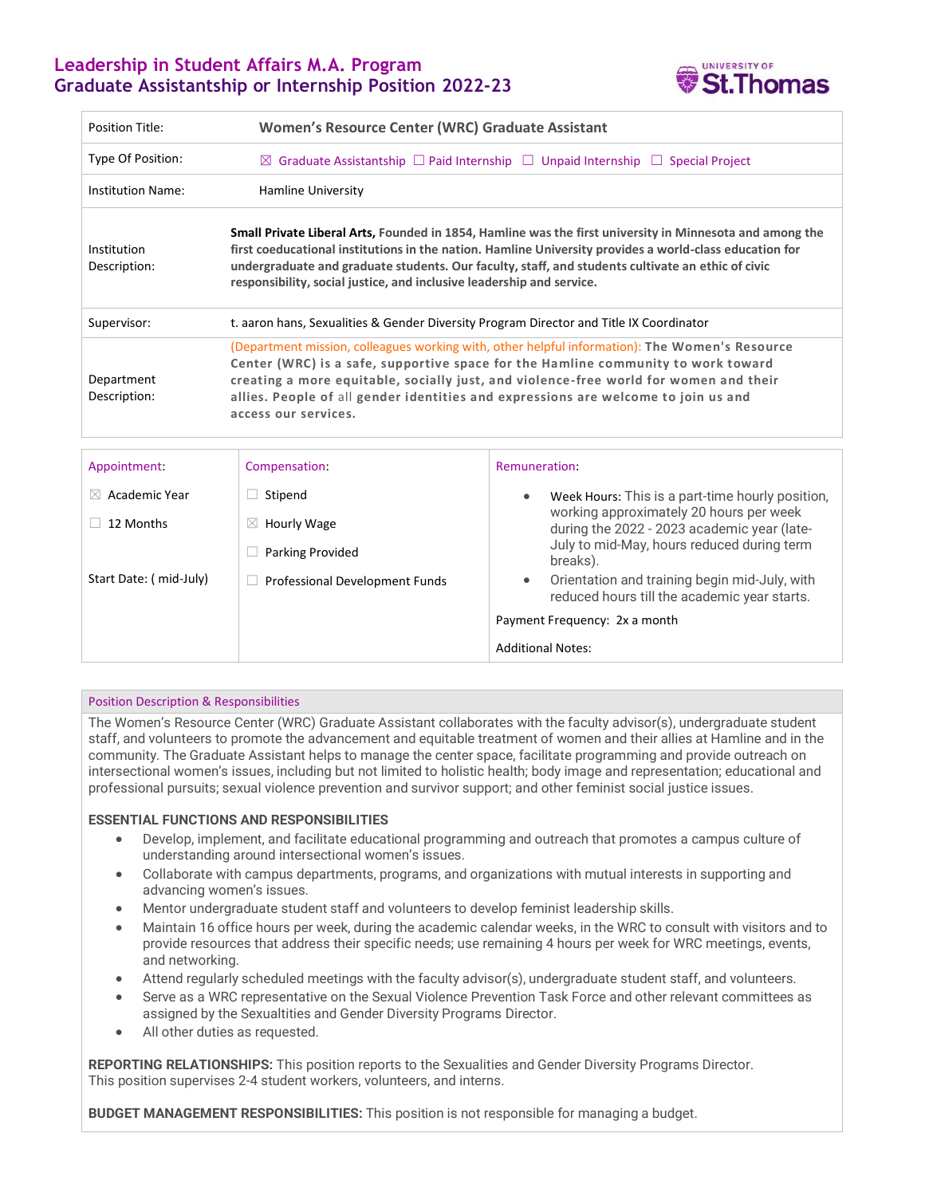# **Leadership in Student Affairs M.A. Program Graduate Assistantship or Internship Position 2022-23**



| Position Title:             | Women's Resource Center (WRC) Graduate Assistant                                                                                                                                                                                                                                                                                                                                                  |  |  |
|-----------------------------|---------------------------------------------------------------------------------------------------------------------------------------------------------------------------------------------------------------------------------------------------------------------------------------------------------------------------------------------------------------------------------------------------|--|--|
| Type Of Position:           | $\boxtimes$ Graduate Assistantship $\Box$ Paid Internship $\Box$ Unpaid Internship $\Box$<br><b>Special Project</b>                                                                                                                                                                                                                                                                               |  |  |
| <b>Institution Name:</b>    | Hamline University                                                                                                                                                                                                                                                                                                                                                                                |  |  |
| Institution<br>Description: | Small Private Liberal Arts, Founded in 1854, Hamline was the first university in Minnesota and among the<br>first coeducational institutions in the nation. Hamline University provides a world-class education for<br>undergraduate and graduate students. Our faculty, staff, and students cultivate an ethic of civic<br>responsibility, social justice, and inclusive leadership and service. |  |  |
| Supervisor:                 | t. aaron hans, Sexualities & Gender Diversity Program Director and Title IX Coordinator                                                                                                                                                                                                                                                                                                           |  |  |
| Department<br>Description:  | (Department mission, colleagues working with, other helpful information): The Women's Resource<br>Center (WRC) is a safe, supportive space for the Hamline community to work toward<br>creating a more equitable, socially just, and violence-free world for women and their<br>allies. People of all gender identities and expressions are welcome to join us and<br>access our services.        |  |  |
|                             |                                                                                                                                                                                                                                                                                                                                                                                                   |  |  |

| Appointment:               | Compensation:                  | Remuneration:                                                                                      |
|----------------------------|--------------------------------|----------------------------------------------------------------------------------------------------|
| Academic Year<br>$\bowtie$ | Stipend                        | Week Hours: This is a part-time hourly position,<br>$\bullet$                                      |
| 12 Months                  | Hourly Wage<br>$\boxtimes$     | working approximately 20 hours per week<br>during the 2022 - 2023 academic year (late-             |
|                            | <b>Parking Provided</b>        | July to mid-May, hours reduced during term<br>breaks).                                             |
| Start Date: (mid-July)     | Professional Development Funds | Orientation and training begin mid-July, with<br>۰<br>reduced hours till the academic year starts. |
|                            |                                | Payment Frequency: 2x a month                                                                      |
|                            |                                | <b>Additional Notes:</b>                                                                           |
|                            |                                |                                                                                                    |

## Position Description & Responsibilities

The Women's Resource Center (WRC) Graduate Assistant collaborates with the faculty advisor(s), undergraduate student staff, and volunteers to promote the advancement and equitable treatment of women and their allies at Hamline and in the community. The Graduate Assistant helps to manage the center space, facilitate programming and provide outreach on intersectional women's issues, including but not limited to holistic health; body image and representation; educational and professional pursuits; sexual violence prevention and survivor support; and other feminist social justice issues.

## **ESSENTIAL FUNCTIONS AND RESPONSIBILITIES**

- Develop, implement, and facilitate educational programming and outreach that promotes a campus culture of understanding around intersectional women's issues.
- Collaborate with campus departments, programs, and organizations with mutual interests in supporting and advancing women's issues.
- Mentor undergraduate student staff and volunteers to develop feminist leadership skills.
- Maintain 16 office hours per week, during the academic calendar weeks, in the WRC to consult with visitors and to provide resources that address their specific needs; use remaining 4 hours per week for WRC meetings, events, and networking.
- Attend regularly scheduled meetings with the faculty advisor(s), undergraduate student staff, and volunteers.
- Serve as a WRC representative on the Sexual Violence Prevention Task Force and other relevant committees as assigned by the Sexualtities and Gender Diversity Programs Director.
- All other duties as requested.

**REPORTING RELATIONSHIPS:** This position reports to the Sexualities and Gender Diversity Programs Director. This position supervises 2-4 student workers, volunteers, and interns.

**BUDGET MANAGEMENT RESPONSIBILITIES:** This position is not responsible for managing a budget.